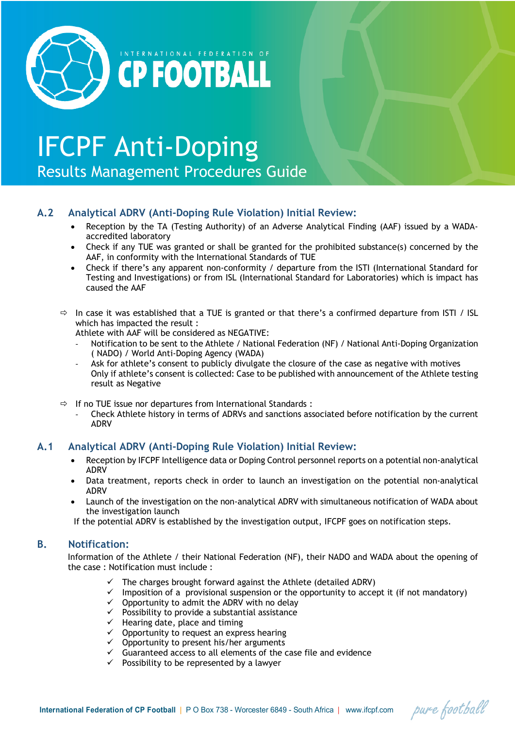

# IFCPF Anti-Doping

**CPFOOTBALL** 

Results Management Procedures Guide

# **A.2 Analytical ADRV (Anti-Doping Rule Violation) Initial Review:**

- Reception by the TA (Testing Authority) of an Adverse Analytical Finding (AAF) issued by a WADAaccredited laboratory
- Check if any TUE was granted or shall be granted for the prohibited substance(s) concerned by the AAF, in conformity with the International Standards of TUE
- Check if there's any apparent non-conformity / departure from the ISTI (International Standard for Testing and Investigations) or from ISL (International Standard for Laboratories) which is impact has caused the AAF
- $\Rightarrow$  In case it was established that a TUE is granted or that there's a confirmed departure from ISTI / ISL which has impacted the result :

Athlete with AAF will be considered as NEGATIVE:

- Notification to be sent to the Athlete / National Federation (NF) / National Anti-Doping Organization ( NADO) / World Anti-Doping Agency (WADA)
- Ask for athlete's consent to publicly divulgate the closure of the case as negative with motives Only if athlete's consent is collected: Case to be published with announcement of the Athlete testing result as Negative
- $\Rightarrow$  If no TUE issue nor departures from International Standards :
	- Check Athlete history in terms of ADRVs and sanctions associated before notification by the current ADRV

# **A.1 Analytical ADRV (Anti-Doping Rule Violation) Initial Review:**

- Reception by IFCPF Intelligence data or Doping Control personnel reports on a potential non-analytical ADRV
- Data treatment, reports check in order to launch an investigation on the potential non-analytical ADRV
- Launch of the investigation on the non-analytical ADRV with simultaneous notification of WADA about the investigation launch
- If the potential ADRV is established by the investigation output, IFCPF goes on notification steps.

# **B. Notification:**

Information of the Athlete / their National Federation (NF), their NADO and WADA about the opening of the case : Notification must include :

- The charges brought forward against the Athlete (detailed ADRV)
- $\checkmark$  Imposition of a provisional suspension or the opportunity to accept it (if not mandatory)
- $\checkmark$  Opportunity to admit the ADRV with no delay
- $\checkmark$  Possibility to provide a substantial assistance
- $\checkmark$  Hearing date, place and timing
- $\checkmark$  Opportunity to request an express hearing
- $\checkmark$  Opportunity to present his/her arguments
- $\checkmark$  Guaranteed access to all elements of the case file and evidence
- $\checkmark$  Possibility to be represented by a lawyer

pure football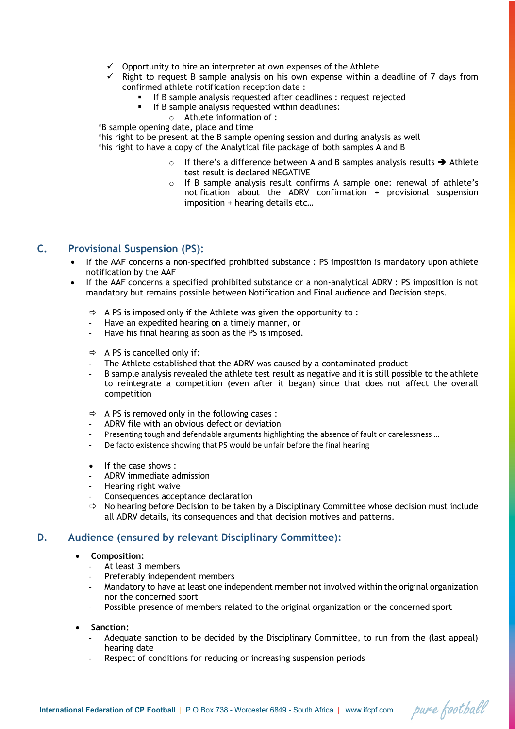- $\checkmark$  Opportunity to hire an interpreter at own expenses of the Athlete
- Right to request B sample analysis on his own expense within a deadline of 7 days from confirmed athlete notification reception date :
	- **•** If B sample analysis requested after deadlines : request rejected
	- If B sample analysis requested within deadlines:
		- o Athlete information of :
- \*B sample opening date, place and time

\*his right to be present at the B sample opening session and during analysis as well \*his right to have a copy of the Analytical file package of both samples A and B

- $\circ$  If there's a difference between A and B samples analysis results  $\rightarrow$  Athlete test result is declared NEGATIVE
- o If B sample analysis result confirms A sample one: renewal of athlete's notification about the ADRV confirmation + provisional suspension imposition + hearing details etc…

## **C. Provisional Suspension (PS):**

- If the AAF concerns a non-specified prohibited substance : PS imposition is mandatory upon athlete notification by the AAF
- If the AAF concerns a specified prohibited substance or a non-analytical ADRV : PS imposition is not mandatory but remains possible between Notification and Final audience and Decision steps.
	- $\Rightarrow$  A PS is imposed only if the Athlete was given the opportunity to:
	- Have an expedited hearing on a timely manner, or
	- Have his final hearing as soon as the PS is imposed.
	- $\Rightarrow$  A PS is cancelled only if:
	- The Athlete established that the ADRV was caused by a contaminated product
	- B sample analysis revealed the athlete test result as negative and it is still possible to the athlete to reintegrate a competition (even after it began) since that does not affect the overall competition
	- $\Rightarrow$  A PS is removed only in the following cases :
	- ADRV file with an obvious defect or deviation
	- Presenting tough and defendable arguments highlighting the absence of fault or carelessness ...
	- De facto existence showing that PS would be unfair before the final hearing
	- If the case shows :
	- ADRV immediate admission
	- Hearing right waive
	- Consequences acceptance declaration
	- $\Rightarrow$  No hearing before Decision to be taken by a Disciplinary Committee whose decision must include all ADRV details, its consequences and that decision motives and patterns.

### **D. Audience (ensured by relevant Disciplinary Committee):**

- **Composition:**
	- At least 3 members
	- Preferably independent members
	- Mandatory to have at least one independent member not involved within the original organization nor the concerned sport
	- Possible presence of members related to the original organization or the concerned sport
- **Sanction:**
	- Adequate sanction to be decided by the Disciplinary Committee, to run from the (last appeal) hearing date

pure football

Respect of conditions for reducing or increasing suspension periods